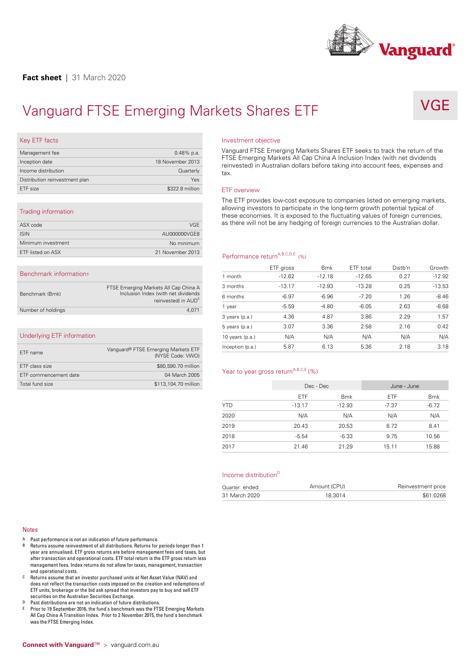

VGE

# Vanguard FTSE Emerging Markets Shares ETF<br>
Key ETF facts<br>
Investment objective<br>
Vanguard FTSE Emerging Markets Shares ETF seeks to<br>
Vanguard FTSE Emerging Markets Shares ETF seeks to

| Key ETF facts                     |                  |
|-----------------------------------|------------------|
| Management fee                    | $0.48\%$ p.a.    |
| Inception date                    | 18 November 2013 |
| Income distribution               | Quarterly        |
| Distribution reinvestment plan    | Yes              |
| ETF size                          | \$322.8 million  |
|                                   |                  |
| Trading information               |                  |
| $\wedge$ C $\vee$ $\cdots$ $\vee$ | 110F             |

| VGE                                                                    |
|------------------------------------------------------------------------|
| AU000000VGE8                                                           |
| No minimum                                                             |
| 21 November 2013                                                       |
|                                                                        |
|                                                                        |
| FTSE Emerging Markets All Cap China A                                  |
| Inclusion Index (with net dividends<br>reinvested) in AUD <sup>E</sup> |
|                                                                        |

| Benchmark (Bmk)    | FTSE Emerging Markets All Cap China A<br>Inclusion Index (with net dividends<br>reinvested) in AUD <sup>E</sup> | 3<br>6 |
|--------------------|-----------------------------------------------------------------------------------------------------------------|--------|
| Number of holdings | 4.071                                                                                                           |        |

# Underlying ETF information

| Underlying ETF information   |                                                         |
|------------------------------|---------------------------------------------------------|
| FTF name                     | Vanguard® FTSE Emerging Markets ETF<br>(NYSE Code: VWO) |
| FTF class size               | \$80,590.70 million                                     |
| <b>ETF</b> commencement date | 04 March 2005                                           |
| Total fund size              | \$113,104.70 million                                    |
|                              |                                                         |

Vanguard FTSE Emerging Markets Shares ETF seeks to track the return of the FTSE Emerging Markets All Cap China A Inclusion Index (with net dividends reinvested) in Australian dollars before taking into account fees, expenses and tax. vanguard FTSE Emerging Markets Shares ETF seeks to track the return of the<br>FTSE Emerging Markets All Cap China A Inclusion Index (with net dividends<br>reinvested) in Australian dollars before taking into account fees, expens

allowing investors to participate in the long-term growth potential typical of these economies. It is exposed to the fluctuating values of foreign currencies, as there will not be any hedging of foreign currencies to the Australian dollar.

# Performance return<sup>A,B,C,D,E</sup> (%)

| Performance return <sup>A,B,C,D,E</sup> (%) |           |            |           |         |          |  |  |  |
|---------------------------------------------|-----------|------------|-----------|---------|----------|--|--|--|
|                                             | ETF gross | <b>Bmk</b> | ETF total | Distb'n | Growth   |  |  |  |
| 1 month                                     | $-12.62$  | $-12.18$   | $-12.65$  | 0.27    | $-12.92$ |  |  |  |
| 3 months                                    | $-13.17$  | $-12.93$   | $-13.28$  | 0.25    | $-13.53$ |  |  |  |
| 6 months                                    | $-6.97$   | $-6.96$    | $-7.20$   | 1.26    | $-8.46$  |  |  |  |
| 1 year                                      | $-5.59$   | $-4.80$    | $-6.05$   | 2.63    | $-8.68$  |  |  |  |
| 3 years (p.a.)                              | 4.36      | 4.87       | 3.86      | 2.29    | 1.57     |  |  |  |
| 5 years (p.a.)                              | 3.07      | 3.36       | 2.58      | 2.16    | 0.42     |  |  |  |
| 10 years $(p.a.)$                           | N/A       | N/A        | N/A       | N/A     | N/A      |  |  |  |
| Inception (p.a.)                            | 5.87      | 6.13       | 5.36      | 2.18    | 3.18     |  |  |  |

# Year to year gross return<sup>A,B,C,E</sup> (%)

| Year to year gross return <sup>A,B,C,E</sup> (%) |            |              |             |                    |  |
|--------------------------------------------------|------------|--------------|-------------|--------------------|--|
|                                                  | Dec - Dec  |              | June - June |                    |  |
|                                                  | <b>ETF</b> | <b>Bmk</b>   | <b>ETF</b>  | <b>Bmk</b>         |  |
| <b>YTD</b>                                       | $-13.17$   | $-12.93$     | $-7.37$     | $-6.72$            |  |
| 2020                                             | N/A        | N/A          | N/A         | N/A                |  |
| 2019                                             | 20.43      | 20.53        | 8.72        | 8.41               |  |
| 2018                                             | $-5.54$    | $-5.33$      | 9.75        | 10.56              |  |
| 2017                                             | 21.46      | 21.29        | 15.11       | 15.88              |  |
|                                                  |            |              |             |                    |  |
| Income distribution <sup>D</sup>                 |            |              |             |                    |  |
| Quarter ended                                    |            | Amount (CPU) |             | Reinvestment price |  |
| 31 March 2020                                    |            | 18.3014      |             | \$61.0268          |  |

| Quarter ended | Amount (CPU) | Reinvestment price |
|---------------|--------------|--------------------|
| 31 March 2020 | 18.3014      | \$61,0268          |

## Notes

- 
- Notes<br>A Past performance is not an indication of future performance.<br>B Returns assume reinvestment of all distributions. Returns for periods longer than 1<br>year are annualised. ETF gross returns are before management fees a tes<br>Past performance is not an indication of future performance.<br>Returns assume reinvestment of all distributions. Returns for periods longer than 1<br>year are annualised. ETF gross returns are before management fees and tax <sup>8</sup> Past performance is not an indication of tuture performance.<br><sup>8</sup> Returns assume reinvestment of all distributions. Returns for periods longer than 1<br>year are annualised. ETF gross returns are before management fees and
- year are annualised. ETF gross returns are before management fees and taxes, but<br>after transaction and operational costs. ETF total return is the ETF gross return less<br>management fees. Index returns do not allow for taxes, management rees. Index returns do not allow for taxes, management, transaction<br>and operational costs.<br>C Returns assume that an investor purchased units at Net Asset Value (NAV) and<br>does not reflect the transaction costs im
- 
- F Prior to 19 September 2016, the fund's benchmark was the FTSE Emerging<br>All Cap China A Transition Index. Prior to 2 November 2015, the fund's ben<br>was the FTSE Emerging Index.<br>**Connect with Vanguard™** > vanguard.com.au